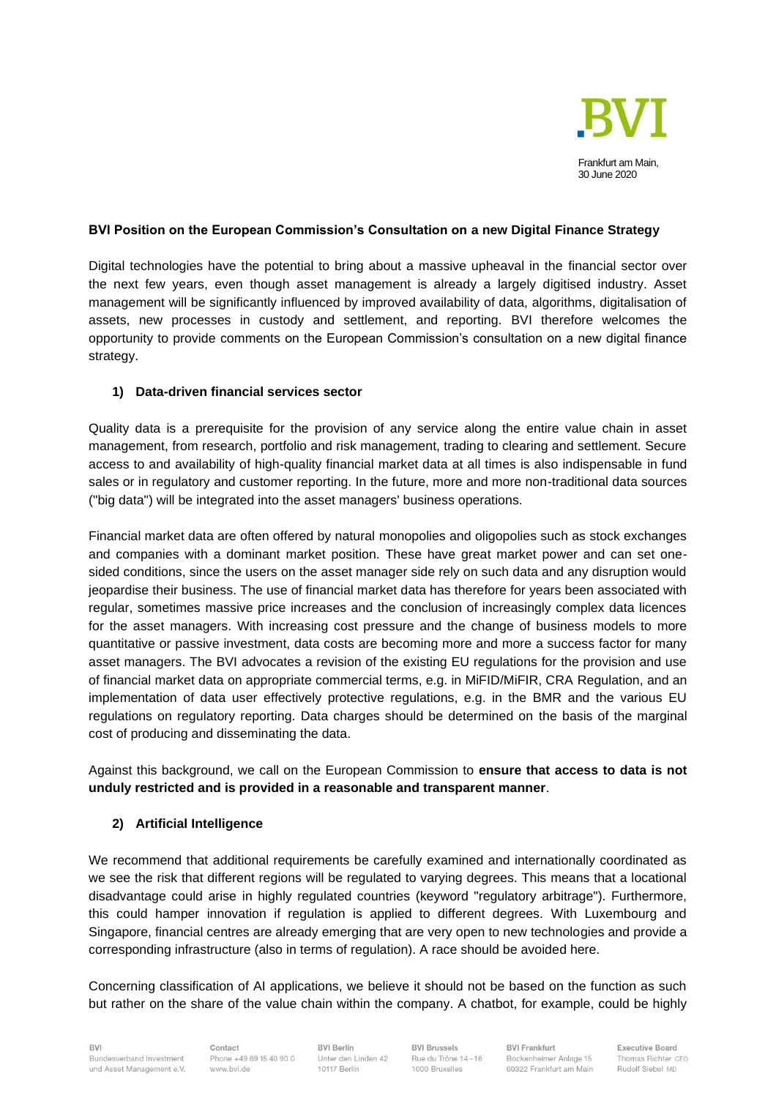

## **BVI Position on the European Commission's Consultation on a new Digital Finance Strategy**

Digital technologies have the potential to bring about a massive upheaval in the financial sector over the next few years, even though asset management is already a largely digitised industry. Asset management will be significantly influenced by improved availability of data, algorithms, digitalisation of assets, new processes in custody and settlement, and reporting. BVI therefore welcomes the opportunity to provide comments on the European Commission's consultation on a new digital finance strategy.

## **1) Data-driven financial services sector**

Quality data is a prerequisite for the provision of any service along the entire value chain in asset management, from research, portfolio and risk management, trading to clearing and settlement. Secure access to and availability of high-quality financial market data at all times is also indispensable in fund sales or in regulatory and customer reporting. In the future, more and more non-traditional data sources ("big data") will be integrated into the asset managers' business operations.

Financial market data are often offered by natural monopolies and oligopolies such as stock exchanges and companies with a dominant market position. These have great market power and can set onesided conditions, since the users on the asset manager side rely on such data and any disruption would jeopardise their business. The use of financial market data has therefore for years been associated with regular, sometimes massive price increases and the conclusion of increasingly complex data licences for the asset managers. With increasing cost pressure and the change of business models to more quantitative or passive investment, data costs are becoming more and more a success factor for many asset managers. The BVI advocates a revision of the existing EU regulations for the provision and use of financial market data on appropriate commercial terms, e.g. in MiFID/MiFIR, CRA Regulation, and an implementation of data user effectively protective regulations, e.g. in the BMR and the various EU regulations on regulatory reporting. Data charges should be determined on the basis of the marginal cost of producing and disseminating the data.

Against this background, we call on the European Commission to **ensure that access to data is not unduly restricted and is provided in a reasonable and transparent manner**.

## **2) Artificial Intelligence**

We recommend that additional requirements be carefully examined and internationally coordinated as we see the risk that different regions will be regulated to varying degrees. This means that a locational disadvantage could arise in highly regulated countries (keyword "regulatory arbitrage"). Furthermore, this could hamper innovation if regulation is applied to different degrees. With Luxembourg and Singapore, financial centres are already emerging that are very open to new technologies and provide a corresponding infrastructure (also in terms of regulation). A race should be avoided here.

Concerning classification of AI applications, we believe it should not be based on the function as such but rather on the share of the value chain within the company. A chatbot, for example, could be highly